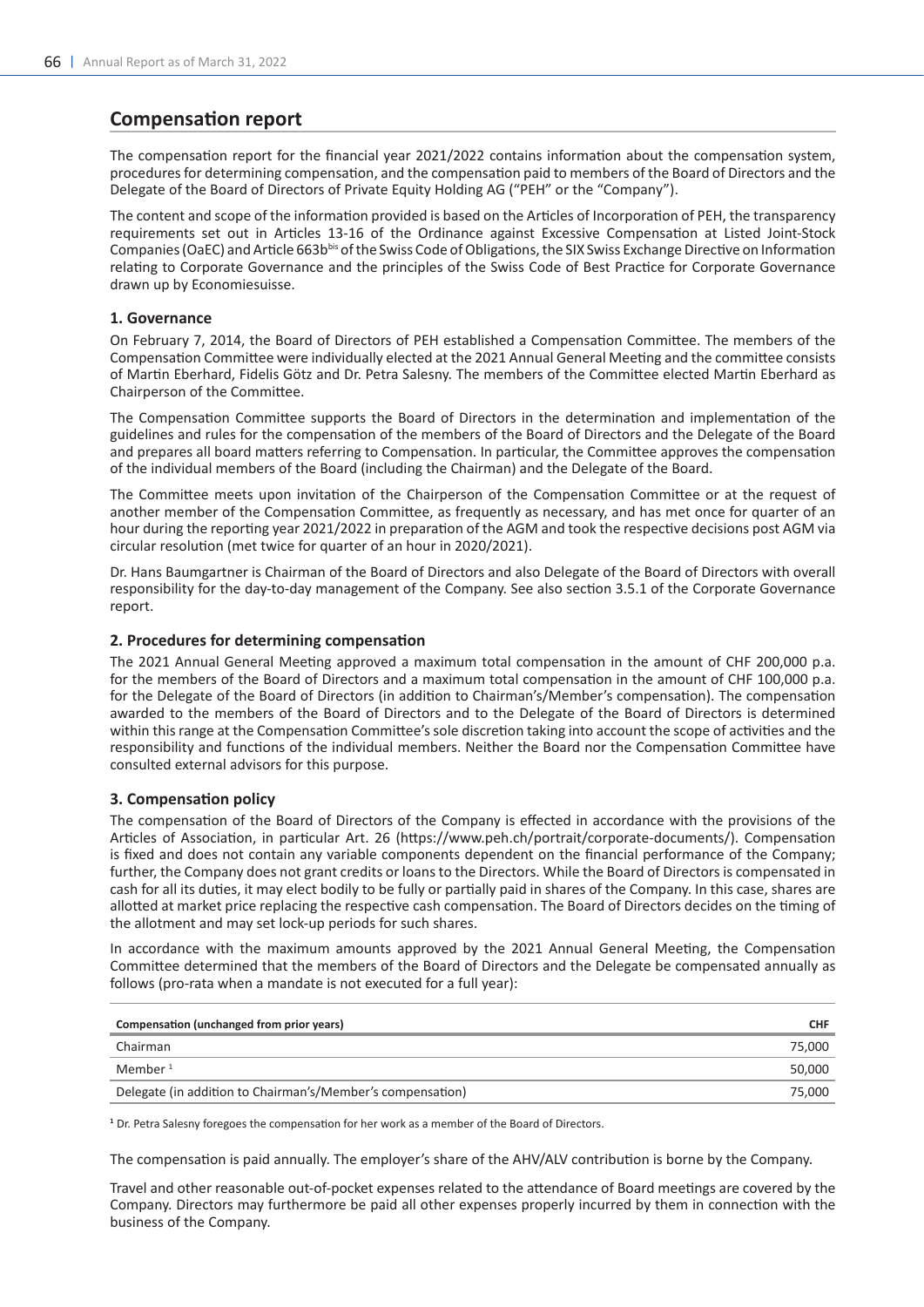# **Compensation report**

The compensation report for the financial year 2021/2022 contains information about the compensation system, procedures for determining compensation, and the compensation paid to members of the Board of Directors and the Delegate of the Board of Directors of Private Equity Holding AG ("PEH" or the "Company").

The content and scope of the information provided is based on the Articles of Incorporation of PEH, the transparency requirements set out in Articles 13-16 of the Ordinance against Excessive Compensation at Listed Joint-Stock Companies (OaEC) and Article 663bbis of the Swiss Code of Obligations, the SIX Swiss Exchange Directive on Information relating to Corporate Governance and the principles of the Swiss Code of Best Practice for Corporate Governance drawn up by Economiesuisse.

## **1. Governance**

On February 7, 2014, the Board of Directors of PEH established a Compensation Committee. The members of the Compensation Committee were individually elected at the 2021 Annual General Meeting and the committee consists of Martin Eberhard, Fidelis Götz and Dr. Petra Salesny. The members of the Committee elected Martin Eberhard as Chairperson of the Committee.

The Compensation Committee supports the Board of Directors in the determination and implementation of the guidelines and rules for the compensation of the members of the Board of Directors and the Delegate of the Board and prepares all board matters referring to Compensation. In particular, the Committee approves the compensation of the individual members of the Board (including the Chairman) and the Delegate of the Board.

The Committee meets upon invitation of the Chairperson of the Compensation Committee or at the request of another member of the Compensation Committee, as frequently as necessary, and has met once for quarter of an hour during the reporting year 2021/2022 in preparation of the AGM and took the respective decisions post AGM via circular resolution (met twice for quarter of an hour in 2020/2021).

Dr. Hans Baumgartner is Chairman of the Board of Directors and also Delegate of the Board of Directors with overall responsibility for the day-to-day management of the Company. See also section 3.5.1 of the Corporate Governance report.

# **2. Procedures for determining compensation**

The 2021 Annual General Meeting approved a maximum total compensation in the amount of CHF 200,000 p.a. for the members of the Board of Directors and a maximum total compensation in the amount of CHF 100,000 p.a. for the Delegate of the Board of Directors (in addition to Chairman's/Member's compensation). The compensation awarded to the members of the Board of Directors and to the Delegate of the Board of Directors is determined within this range at the Compensation Committee's sole discretion taking into account the scope of activities and the responsibility and functions of the individual members. Neither the Board nor the Compensation Committee have consulted external advisors for this purpose.

# **3. Compensation policy**

The compensation of the Board of Directors of the Company is effected in accordance with the provisions of the Articles of Association, in particular Art. 26 (https://www.peh.ch/portrait/corporate-documents/). Compensation is fixed and does not contain any variable components dependent on the financial performance of the Company; further, the Company does not grant credits or loans to the Directors. While the Board of Directors is compensated in cash for all its duties, it may elect bodily to be fully or partially paid in shares of the Company. In this case, shares are allotted at market price replacing the respective cash compensation. The Board of Directors decides on the timing of the allotment and may set lock-up periods for such shares.

In accordance with the maximum amounts approved by the 2021 Annual General Meeting, the Compensation Committee determined that the members of the Board of Directors and the Delegate be compensated annually as follows (pro-rata when a mandate is not executed for a full year):

| Compensation (unchanged from prior years)                  | <b>CHF</b> |
|------------------------------------------------------------|------------|
| Chairman                                                   | 75,000     |
| Member $1$                                                 | 50,000     |
| Delegate (in addition to Chairman's/Member's compensation) | 75.000     |

**<sup>1</sup>**Dr. Petra Salesny foregoes the compensation for her work as a member of the Board of Directors.

The compensation is paid annually. The employer's share of the AHV/ALV contribution is borne by the Company.

Travel and other reasonable out-of-pocket expenses related to the attendance of Board meetings are covered by the Company. Directors may furthermore be paid all other expenses properly incurred by them in connection with the business of the Company.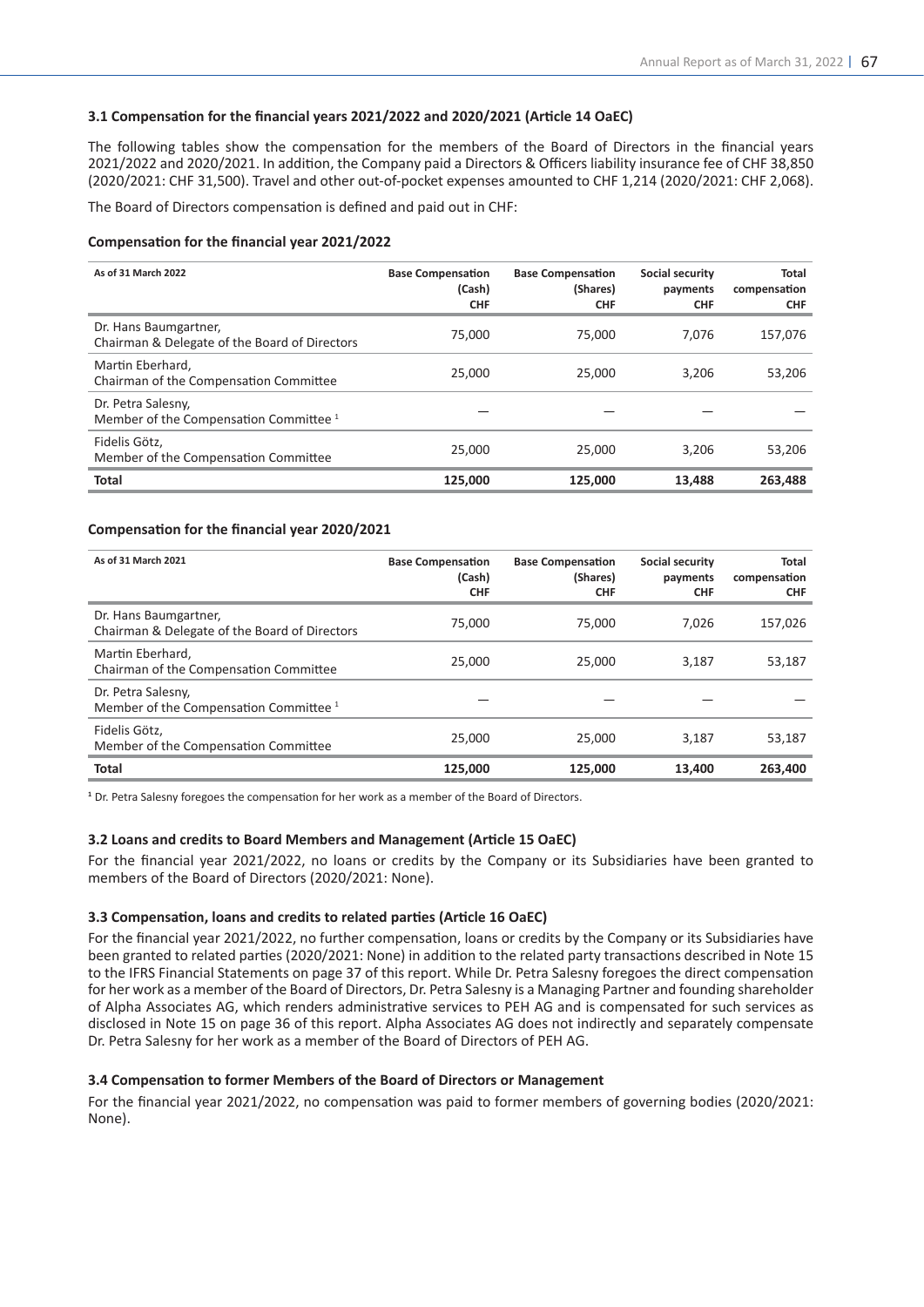## **3.1 Compensation for the financial years 2021/2022 and 2020/2021 (Article 14 OaEC)**

The following tables show the compensation for the members of the Board of Directors in the financial years 2021/2022 and 2020/2021. In addition, the Company paid a Directors & Officers liability insurance fee of CHF 38,850 (2020/2021: CHF 31,500). Travel and other out-of-pocket expenses amounted to CHF 1,214 (2020/2021: CHF 2,068).

The Board of Directors compensation is defined and paid out in CHF:

#### **Compensation for the financial year 2021/2022**

| As of 31 March 2022                                                     | <b>Base Compensation</b><br>(Cash)<br><b>CHF</b> | <b>Base Compensation</b><br>(Shares)<br><b>CHF</b> | Social security<br>payments<br><b>CHF</b> | Total<br>compensation<br><b>CHF</b> |
|-------------------------------------------------------------------------|--------------------------------------------------|----------------------------------------------------|-------------------------------------------|-------------------------------------|
| Dr. Hans Baumgartner,<br>Chairman & Delegate of the Board of Directors  | 75,000                                           | 75,000                                             | 7.076                                     | 157,076                             |
| Martin Eberhard,<br>Chairman of the Compensation Committee              | 25,000                                           | 25,000                                             | 3.206                                     | 53,206                              |
| Dr. Petra Salesny,<br>Member of the Compensation Committee <sup>1</sup> |                                                  |                                                    |                                           |                                     |
| Fidelis Götz,<br>Member of the Compensation Committee                   | 25,000                                           | 25,000                                             | 3.206                                     | 53,206                              |
| <b>Total</b>                                                            | 125,000                                          | 125,000                                            | 13,488                                    | 263,488                             |

#### **Compensation for the financial year 2020/2021**

| As of 31 March 2021                                                     | <b>Base Compensation</b><br>(Cash)<br><b>CHF</b> | <b>Base Compensation</b><br>(Shares)<br><b>CHF</b> | Social security<br>payments<br><b>CHF</b> | Total<br>compensation<br><b>CHF</b> |
|-------------------------------------------------------------------------|--------------------------------------------------|----------------------------------------------------|-------------------------------------------|-------------------------------------|
| Dr. Hans Baumgartner,<br>Chairman & Delegate of the Board of Directors  | 75,000                                           | 75,000                                             | 7,026                                     | 157,026                             |
| Martin Eberhard,<br>Chairman of the Compensation Committee              | 25,000                                           | 25,000                                             | 3,187                                     | 53,187                              |
| Dr. Petra Salesny,<br>Member of the Compensation Committee <sup>1</sup> |                                                  |                                                    |                                           |                                     |
| Fidelis Götz,<br>Member of the Compensation Committee                   | 25,000                                           | 25,000                                             | 3.187                                     | 53,187                              |
| Total                                                                   | 125.000                                          | 125.000                                            | 13,400                                    | 263,400                             |

<sup>1</sup> Dr. Petra Salesny foregoes the compensation for her work as a member of the Board of Directors.

#### **3.2 Loans and credits to Board Members and Management (Article 15 OaEC)**

For the financial year 2021/2022, no loans or credits by the Company or its Subsidiaries have been granted to members of the Board of Directors (2020/2021: None).

#### **3.3 Compensation, loans and credits to related parties (Article 16 OaEC)**

For the financial year 2021/2022, no further compensation, loans or credits by the Company or its Subsidiaries have been granted to related parties (2020/2021: None) in addition to the related party transactions described in Note 15 to the IFRS Financial Statements on page 37 of this report. While Dr. Petra Salesny foregoes the direct compensation for her work as a member of the Board of Directors, Dr. Petra Salesny is a Managing Partner and founding shareholder of Alpha Associates AG, which renders administrative services to PEH AG and is compensated for such services as disclosed in Note 15 on page 36 of this report. Alpha Associates AG does not indirectly and separately compensate Dr. Petra Salesny for her work as a member of the Board of Directors of PEH AG.

#### **3.4 Compensation to former Members of the Board of Directors or Management**

For the financial year 2021/2022, no compensation was paid to former members of governing bodies (2020/2021: None).